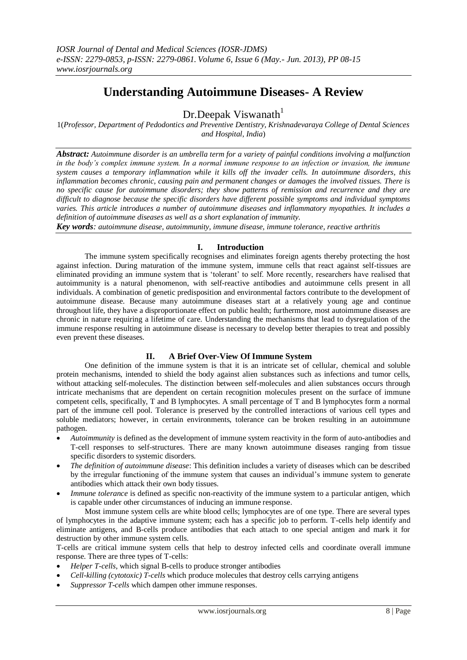# **Understanding Autoimmune Diseases- A Review**

Dr.Deepak Viswanath<sup>1</sup>

1(*Professor, Department of Pedodontics and Preventive Dentistry, Krishnadevaraya College of Dental Sciences and Hospital*, *India*)

*Abstract: Autoimmune disorder is an umbrella term for a variety of painful conditions involving a malfunction in the body's complex immune system. In a normal immune response to an infection or invasion, the immune system causes a temporary inflammation while it kills off the invader cells. In autoimmune disorders, this inflammation becomes chronic, causing pain and permanent changes or damages the involved tissues. There is no specific cause for autoimmune disorders; they show patterns of remission and recurrence and they are difficult to diagnose because the specific disorders have different possible symptoms and individual symptoms varies. This article introduces a number of autoimmune diseases and inflammatory myopathies. It includes a definition of autoimmune diseases as well as a short explanation of immunity.*

*Key words: autoimmune disease, autoimmunity, immune disease, immune tolerance, reactive arthritis*

# **I. Introduction**

The immune system specifically recognises and eliminates foreign agents thereby protecting the host against infection. During maturation of the immune system, immune cells that react against self-tissues are eliminated providing an immune system that is "tolerant" to self. More recently, researchers have realised that autoimmunity is a natural phenomenon, with self-reactive antibodies and autoimmune cells present in all individuals. A combination of genetic predisposition and environmental factors contribute to the development of autoimmune disease. Because many autoimmune diseases start at a relatively young age and continue throughout life, they have a disproportionate effect on public health; furthermore, most autoimmune diseases are chronic in nature requiring a lifetime of care. Understanding the mechanisms that lead to dysregulation of the immune response resulting in autoimmune disease is necessary to develop better therapies to treat and possibly even prevent these diseases.

# **II. A Brief Over-View Of Immune System**

One definition of the immune system is that it is an intricate set of cellular, chemical and soluble protein mechanisms, intended to shield the body against alien substances such as infections and tumor cells, without attacking self-molecules. The distinction between self-molecules and alien substances occurs through intricate mechanisms that are dependent on certain recognition molecules present on the surface of immune competent cells, specifically, T and B lymphocytes. A small percentage of T and B lymphocytes form a normal part of the immune cell pool. Tolerance is preserved by the controlled interactions of various cell types and soluble mediators; however, in certain environments, tolerance can be broken resulting in an autoimmune pathogen.

- *Autoimmunity* is defined as the development of immune system reactivity in the form of auto-antibodies and T-cell responses to self-structures. There are many known autoimmune diseases ranging from tissue specific disorders to systemic disorders.
- *The definition of autoimmune disease*: This definition includes a variety of diseases which can be described by the irregular functioning of the immune system that causes an individual"s immune system to generate antibodies which attack their own body tissues.
- *Immune tolerance* is defined as specific non-reactivity of the immune system to a particular antigen, which is capable under other circumstances of inducing an immune response.

Most immune system cells are white blood cells; lymphocytes are of one type. There are several types of lymphocytes in the adaptive immune system; each has a specific job to perform. T-cells help identify and eliminate antigens, and B-cells produce antibodies that each attach to one special antigen and mark it for destruction by other immune system cells.

T-cells are critical immune system cells that help to destroy infected cells and coordinate overall immune response. There are three types of T-cells:

- *Helper T-cells*, which signal B-cells to produce stronger antibodies
- *Cell-killing (cytotoxic) T-cells* which produce molecules that destroy cells carrying antigens
- *Suppressor T-cells* which dampen other immune responses.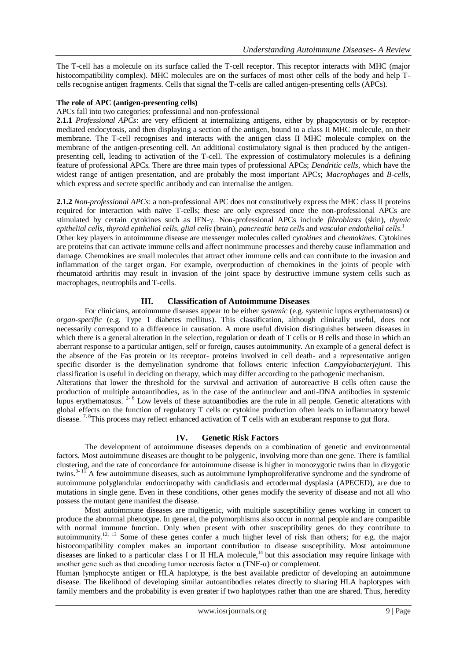The T-cell has a molecule on its surface called the T-cell receptor. This receptor interacts with MHC (major histocompatibility complex). MHC molecules are on the surfaces of most other cells of the body and help Tcells recognise antigen fragments. Cells that signal the T-cells are called antigen-presenting cells (APCs).

#### **The role of APC (antigen-presenting cells)**

#### APCs fall into two categories: professional and non-professional

**2.1.1** *Professional APCs*: are very efficient at internalizing antigens, either by phagocytosis or by receptormediated endocytosis, and then displaying a section of the antigen, bound to a class II MHC molecule, on their membrane. The T-cell recognises and interacts with the antigen class II MHC molecule complex on the membrane of the antigen-presenting cell. An additional costimulatory signal is then produced by the antigenpresenting cell, leading to activation of the T-cell. The expression of costimulatory molecules is a defining feature of professional APCs. There are three main types of professional APCs; *Dendritic cells,* which have the widest range of antigen presentation, and are probably the most important APCs; *Macrophages* and *B-cells*, which express and secrete specific antibody and can internalise the antigen.

**2.1.2** *Non-professional APCs*: a non-professional APC does not constitutively express the MHC class II proteins required for interaction with naïve T-cells; these are only expressed once the non-professional APCs are stimulated by certain cytokines such as IFN-γ. Non-professional APCs include *fibroblasts* (skin), *thymic epithelial cells*, *thyroid epithelial cells*, *glial cells* (brain), *pancreatic beta cells* and *vascular endothelial cells*. 1 Other key players in autoimmune disease are messenger molecules called *cytokines* and *chemokines*. Cytokines are proteins that can activate immune cells and affect nonimmune processes and thereby cause inflammation and damage. Chemokines are small molecules that attract other immune cells and can contribute to the invasion and inflammation of the target organ. For example, overproduction of chemokines in the joints of people with rheumatoid arthritis may result in invasion of the joint space by destructive immune system cells such as macrophages, neutrophils and T-cells.

#### **III. Classification of Autoimmune Diseases**

For clinicians, autoimmune diseases appear to be either *systemic* (e.g. systemic lupus erythematosus) or *organ-specific* (e.g. Type 1 diabetes mellitus). This classification, although clinically useful, does not necessarily correspond to a difference in causation. A more useful division distinguishes between diseases in which there is a general alteration in the selection, regulation or death of T cells or B cells and those in which an aberrant response to a particular antigen, self or foreign, causes autoimmunity. An example of a general defect is the absence of the Fas protein or its receptor- proteins involved in cell death- and a representative antigen specific disorder is the demyelination syndrome that follows enteric infection *Campylobacterjejuni.* This classification is useful in deciding on therapy, which may differ according to the pathogenic mechanism.

Alterations that lower the threshold for the survival and activation of autoreactive B cells often cause the production of multiple autoantibodies, as in the case of the antinuclear and anti-DNA antibodies in systemic lupus erythematosus.  $2-6$  Low levels of these autoantibodies are the rule in all people. Genetic alterations with global effects on the function of regulatory T cells or cytokine production often leads to inflammatory bowel disease. <sup>7, 8</sup>This process may reflect enhanced activation of T cells with an exuberant response to gut flora.

# **IV. Genetic Risk Factors**

The development of autoimmune diseases depends on a combination of genetic and environmental factors. Most autoimmune diseases are thought to be polygenic, involving more than one gene. There is familial clustering, and the rate of concordance for autoimmune disease is higher in monozygotic twins than in dizygotic twins.<sup>9-11</sup> A few autoimmune diseases, such as autoimmune lymphoproliferative syndrome and the syndrome of autoimmune polyglandular endocrinopathy with candidiasis and ectodermal dysplasia (APECED), are due to mutations in single gene. Even in these conditions, other genes modify the severity of disease and not all who possess the mutant gene manifest the disease.

Most autoimmune diseases are multigenic, with multiple susceptibility genes working in concert to produce the abnormal phenotype. In general, the polymorphisms also occur in normal people and are compatible with normal immune function. Only when present with other susceptibility genes do they contribute to autoimmunity.12, 13 Some of these genes confer a much higher level of risk than others; for e.g. the major histocompatibility complex makes an important contribution to disease susceptibility. Most autoimmune diseases are linked to a particular class I or II HLA molecule,<sup>14</sup> but this association may require linkage with another gene such as that encoding tumor necrosis factor  $\alpha$  (TNF- $\alpha$ ) or complement.

Human lymphocyte antigen or HLA haplotype, is the best available predictor of developing an autoimmune disease. The likelihood of developing similar autoantibodies relates directly to sharing HLA haplotypes with family members and the probability is even greater if two haplotypes rather than one are shared. Thus, heredity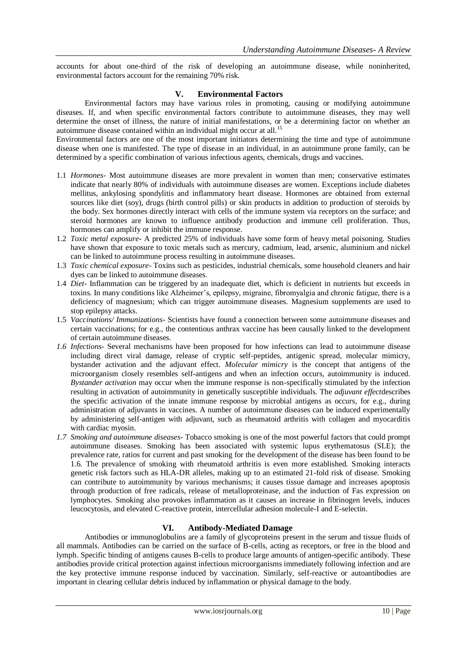accounts for about one-third of the risk of developing an autoimmune disease, while noninherited, environmental factors account for the remaining 70% risk.

#### **V. Environmental Factors**

Environmental factors may have various roles in promoting, causing or modifying autoimmune diseases. If, and when specific environmental factors contribute to autoimmune diseases, they may well determine the onset of illness, the nature of initial manifestations, or be a determining factor on whether an autoimmune disease contained within an individual might occur at all.<sup>15</sup>

Environmental factors are one of the most important initiators determining the time and type of autoimmune disease when one is manifested. The type of disease in an individual, in an autoimmune prone family, can be determined by a specific combination of various infectious agents, chemicals, drugs and vaccines.

- 1.1 *Hormones* Most autoimmune diseases are more prevalent in women than men; conservative estimates indicate that nearly 80% of individuals with autoimmune diseases are women. Exceptions include diabetes mellitus, ankylosing spondylitis and inflammatory heart disease. Hormones are obtained from external sources like diet (soy), drugs (birth control pills) or skin products in addition to production of steroids by the body. Sex hormones directly interact with cells of the immune system via receptors on the surface; and steroid hormones are known to influence antibody production and immune cell proliferation. Thus, hormones can amplify or inhibit the immune response.
- 1.2 *Toxic metal exposure* A predicted 25% of individuals have some form of heavy metal poisoning. Studies have shown that exposure to toxic metals such as mercury, cadmium, lead, arsenic, aluminium and nickel can be linked to autoimmune process resulting in autoimmune diseases.
- 1.3 *Toxic chemical exposure* Toxins such as pesticides, industrial chemicals, some household cleaners and hair dyes can be linked to autoimmune diseases.
- 1.4 *Diet* Inflammation can be triggered by an inadequate diet, which is deficient in nutrients but exceeds in toxins. In many conditions like Alzheimer"s, epilepsy, migraine, fibromyalgia and chronic fatigue, there is a deficiency of magnesium; which can trigger autoimmune diseases. Magnesium supplements are used to stop epilepsy attacks.
- 1.5 *Vaccinations/ Immunizations* Scientists have found a connection between some autoimmune diseases and certain vaccinations; for e.g., the contentious anthrax vaccine has been causally linked to the development of certain autoimmune diseases.
- *1.6 Infections* Several mechanisms have been proposed for how infections can lead to autoimmune disease including direct viral damage, release of cryptic self-peptides, antigenic spread, molecular mimicry, bystander activation and the adjuvant effect. *Molecular mimicry* is the concept that antigens of the microorganism closely resembles self-antigens and when an infection occurs, autoimmunity is induced. *Bystander activation* may occur when the immune response is non-specifically stimulated by the infection resulting in activation of autoimmunity in genetically susceptible individuals. The *adjuvant effect*describes the specific activation of the innate immune response by microbial antigens as occurs, for e.g., during administration of adjuvants in vaccines. A number of autoimmune diseases can be induced experimentally by administering self-antigen with adjuvant, such as rheumatoid arthritis with collagen and myocarditis with cardiac myosin.
- *1.7 Smoking and autoimmune diseases-* Tobacco smoking is one of the most powerful factors that could prompt autoimmune diseases. Smoking has been associated with systemic lupus erythematosus (SLE); the prevalence rate, ratios for current and past smoking for the development of the disease has been found to be 1.6. The prevalence of smoking with rheumatoid arthritis is even more established. Smoking interacts genetic risk factors such as HLA-DR alleles, making up to an estimated 21-fold risk of disease. Smoking can contribute to autoimmunity by various mechanisms; it causes tissue damage and increases apoptosis through production of free radicals, release of metalloproteinase, and the induction of Fas expression on lymphocytes. Smoking also provokes inflammation as it causes an increase in fibrinogen levels, induces leucocytosis, and elevated C-reactive protein, intercellular adhesion molecule-I and E-selectin.

# **VI. Antibody-Mediated Damage**

Antibodies or immunoglobulins are a family of glycoproteins present in the serum and tissue fluids of all mammals. Antibodies can be carried on the surface of B-cells, acting as receptors, or free in the blood and lymph. Specific binding of antigens causes B-cells to produce large amounts of antigen-specific antibody. These antibodies provide critical protection against infectious microorganisms immediately following infection and are the key protective immune response induced by vaccination. Similarly, self-reactive or autoantibodies are important in clearing cellular debris induced by inflammation or physical damage to the body.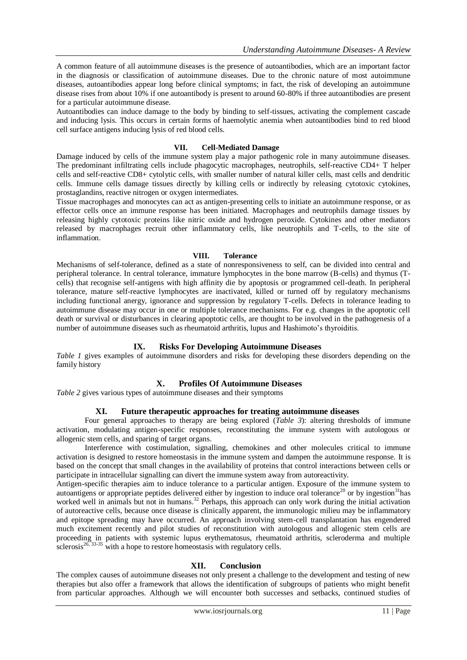A common feature of all autoimmune diseases is the presence of autoantibodies, which are an important factor in the diagnosis or classification of autoimmune diseases. Due to the chronic nature of most autoimmune diseases, autoantibodies appear long before clinical symptoms; in fact, the risk of developing an autoimmune disease rises from about 10% if one autoantibody is present to around 60-80% if three autoantibodies are present for a particular autoimmune disease.

Autoantibodies can induce damage to the body by binding to self-tissues, activating the complement cascade and inducing lysis. This occurs in certain forms of haemolytic anemia when autoantibodies bind to red blood cell surface antigens inducing lysis of red blood cells.

#### **VII. Cell-Mediated Damage**

Damage induced by cells of the immune system play a major pathogenic role in many autoimmune diseases. The predominant infiltrating cells include phagocytic macrophages, neutrophils, self-reactive CD4+ T helper cells and self-reactive CD8+ cytolytic cells, with smaller number of natural killer cells, mast cells and dendritic cells. Immune cells damage tissues directly by killing cells or indirectly by releasing cytotoxic cytokines, prostaglandins, reactive nitrogen or oxygen intermediates.

Tissue macrophages and monocytes can act as antigen-presenting cells to initiate an autoimmune response, or as effector cells once an immune response has been initiated. Macrophages and neutrophils damage tissues by releasing highly cytotoxic proteins like nitric oxide and hydrogen peroxide. Cytokines and other mediators released by macrophages recruit other inflammatory cells, like neutrophils and T-cells, to the site of inflammation.

#### **VIII. Tolerance**

Mechanisms of self-tolerance, defined as a state of nonresponsiveness to self, can be divided into central and peripheral tolerance. In central tolerance, immature lymphocytes in the bone marrow (B-cells) and thymus (Tcells) that recognise self-antigens with high affinity die by apoptosis or programmed cell-death. In peripheral tolerance, mature self-reactive lymphocytes are inactivated, killed or turned off by regulatory mechanisms including functional anergy, ignorance and suppression by regulatory T-cells. Defects in tolerance leading to autoimmune disease may occur in one or multiple tolerance mechanisms. For e.g. changes in the apoptotic cell death or survival or disturbances in clearing apoptotic cells, are thought to be involved in the pathogenesis of a number of autoimmune diseases such as rheumatoid arthritis, lupus and Hashimoto"s thyroiditis.

# **IX. Risks For Developing Autoimmune Diseases**

*Table 1* gives examples of autoimmune disorders and risks for developing these disorders depending on the family history

# **X. Profiles Of Autoimmune Diseases**

*Table 2* gives various types of autoimmune diseases and their symptoms

# **XI. Future therapeutic approaches for treating autoimmune diseases**

Four general approaches to therapy are being explored (*Table 3*): altering thresholds of immune activation, modulating antigen-specific responses, reconstituting the immune system with autologous or allogenic stem cells, and sparing of target organs.

Interference with costimulation, signalling, chemokines and other molecules critical to immune activation is designed to restore homeostasis in the immune system and dampen the autoimmune response. It is based on the concept that small changes in the availability of proteins that control interactions between cells or participate in intracellular signalling can divert the immune system away from autoreactivity.

Antigen-specific therapies aim to induce tolerance to a particular antigen. Exposure of the immune system to autoantigens or appropriate peptides delivered either by ingestion to induce oral tolerance<sup>20</sup> or by ingestion<sup>31</sup>has worked well in animals but not in humans.<sup>32</sup> Perhaps, this approach can only work during the initial activation of autoreactive cells, because once disease is clinically apparent, the immunologic milieu may be inflammatory and epitope spreading may have occurred. An approach involving stem-cell transplantation has engendered much excitement recently and pilot studies of reconstitution with autologous and allogenic stem cells are proceeding in patients with systemic lupus erythematosus, rheumatoid arthritis, scleroderma and multiple sclerosis<sup>26, 33-35</sup> with a hope to restore homeostasis with regulatory cells.

# **XII. Conclusion**

The complex causes of autoimmune diseases not only present a challenge to the development and testing of new therapies but also offer a framework that allows the identification of subgroups of patients who might benefit from particular approaches. Although we will encounter both successes and setbacks, continued studies of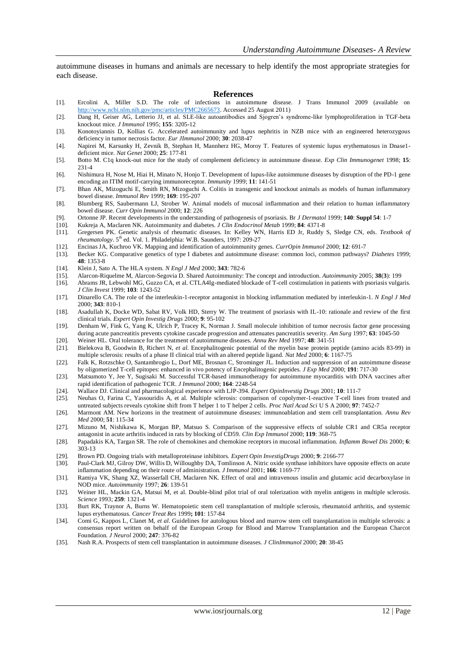autoimmune diseases in humans and animals are necessary to help identify the most appropriate strategies for each disease.

#### **References**

- [1]. Ercolini A, Miller S.D. The role of infections in autoimmune disease. J Trans Immunol 2009 (available on [http://www.ncbi.nlm.nih.gov/pmc/articles/PMC2665673.](http://www.ncbi.nlm.nih.gov/pmc/articles/PMC2665673) Accessed 25 August 2011)
- [2]. Dang H, Geiser AG, Letterio JJ, et al. SLE-like autoantibodies and Sjogren"s syndrome-like lymphoproliferation in TGF-beta knockout mice. *J Immunol* 1995; **155**: 3205-12
- [3]. Konotoyiannis D, Kollias G. Accelerated autoimmunity and lupus nephritis in NZB mice with an engineered heterozygous deficiency in tumor necrosis factor. *Eur JImmunol* 2000; **30**: 2038-47
- [4]. Napirei M, Karsunky H, Zevnik B, Stephan H, Mannherz HG, Moroy T. Features of systemic lupus erythematosus in Dnase1 deficient mice. *Nat Genet* 2000; **25**: 177-81
- [5]. Botto M. C1q knock-out mice for the study of complement deficiency in autoimmune disease. *Exp Clin Immunogenet* 1998; **15**: 231-4
- [6]. Nishimura H, Nose M, Hiai H, Minato N, Honjo T. Development of lupus-like autoimmune diseases by disruption of the PD-1 gene encoding an ITIM motif-carrying immunoreceptor. *Immunity* 1999; **11**: 141-51
- [7]. Bhan AK, Mizoguchi E, Smith RN, Mizoguchi A. Colitis in transgenic and knockout animals as models of human inflammatory bowel disease. *Immunol Rev* 1999; **169**: 195-207
- [8]. Blumberg RS, Saubermann LJ, Strober W. Animal models of mucosal inflammation and their relation to human inflammatory bowel disease. *Curr Opin Immunol* 2000; **12**: 226
- [9]. Ortonne JP. Recent developments in the understanding of pathogenesis of psoriasis. Br *J Dermatol* 1999; **140**: **Suppl 54**: 1-7
- [10]. Kukreja A, Maclaren NK. Autoimmunity and diabetes. *J Clin Endocrinol Metab* 1999; **84**: 4371-8
- [11]. Gregersen PK. Genetic analysis of rheumatic diseases. In: Kelley WN, Harris ED Jr, Ruddy S, Sledge CN, eds. *Textbook of rheumatology*. 5<sup>th</sup> ed. Vol. 1. Philadelphia: W.B. Saunders, 1997: 209-27
- [12]. Encinas JA, Kuchroo VK. Mapping and identification of autoimmunity genes. *CurrOpin Immunol* 2000; **12**: 691-7
- [13]. Becker KG. Comparative genetics of type I diabetes and autoimmune disease: common loci, common pathways? *Diabetes* 1999; **48**: 1353-8
- [14]. Klein J, Sato A. The HLA system. *N Engl J Med* 2000; **343**: 782-6
- [15]. Alarcon-Riquelme M, Alarcon-Segovia D. Shared Autoimmunity: The concept and introduction. *Autoimmunity* 2005; **38**(**3**): 199
- [16]. Abrams JR, Lebwohl MG, Guzzo CA, et al. CTLA4Ig-mediated blockade of T-cell costimulation in patients with psoriasis vulgaris. *J Clin Invest* 1999; **103**: 1243-52
- [17]. Dinarello CA. The role of the interleukin-1-receptor antagonist in blocking inflammation mediated by interleukin-1. *N Engl J Med* 2000; **343**: 810-1
- [18]. Asadullah K, Docke WD, Sabat RV, Volk HD, Sterry W. The treatment of psoriasis with IL-10: rationale and review of the first clinical trials. *Expert Opin Investig Drugs* 2000; **9**: 95-102
- [19]. Denham W, Fink G, Yang K, Ulrich P, Tracey K, Norman J. Small molecule inhibition of tumor necrosis factor gene processing during acute pancreatitis prevents cytokine cascade progression and attenuates pancreatitis severity. *Am Surg* 1997; **63**: 1045-50
- [20]. Weiner HL. Oral tolerance for the treatment of autoimmune diseases. *Annu Rev Med* 1997; **48**: 341-51
- [21]. Bielekova B, Goodwin B, Richert N, *et al*. Encephalitogenic potential of the myelin base protein peptide (amino acids 83-99) in multiple sclerosis: results of a phase II clinical trial with an altered peptide ligand. *Nat Med* 2000; **6**: 1167-75
- [22]. Falk K, Rotzschke O, Santambrogio L, Dorf ME, Brosnan C, Strominger JL. Induction and suppression of an autoimmune disease by oligomerized T-cell epitopes: enhanced in vivo potency of Encephalitogenic peptides. *J Exp Med* 2000; **191**: 717-30
- [23]. Matsumoto Y, Jee Y, Sugisaki M. Successful TCR-based immunotherapy for autoimmune myocarditis with DNA vaccines after rapid identification of pathogenic TCR. *J Immunol* 2000; **164**: 2248-54
- [24]. Wallace DJ. Clinical and pharmacological experience with LJP-394. *Expert OpinInvestig Drugs* 2001; **10**: 111-7
- Neuhas O, Farina C, Yassouridis A, et al. Multiple sclerosis: comparison of copolymer-1-reactive T-cell lines from treated and untreated subjects reveals cytokine shift from T helper 1 to T helper 2 cells. *Proc Natl Acad Sci* U S A 2000; **97**: 7452-7
- [26]. Marmont AM. New horizons in the treatment of autoimmune diseases: immunoablation and stem cell transplantation. *Annu Rev Med* 2000; **51**: 115-34
- [27]. Mizuno M, Nishikawa K, Morgan BP, Matsuo S. Comparison of the suppressive effects of soluble CR1 and CR5a receptor antagonist in acute arthritis induced in rats by blocking of CD59. *Clin Exp Immunol* 2000; **119**: 368-75
- [28]. Papadakis KA, Targan SR. The role of chemokines and chemokine receptors in mucosal inflammation. *Inflamm Bowel Dis* 2000; **6**: 303-13
- [29]. Brown PD. Ongoing trials with metalloproteinase inhibitors. *Expert Opin InvestigDrugs* 2000; **9**: 2166-77
- [30]. Paul-Clark MJ, Gilroy DW, Willis D, Willoughby DA, Tomlinson A. Nitric oxide synthase inhibitors have opposite effects on acute inflammation depending on their route of administration. *J Immunol* 2001; **166**: 1169-77
- [31]. Ramiya VK, Shang XZ, Wasserfall CH, Maclaren NK. Effect of oral and intravenous insulin and glutamic acid decarboxylase in NOD mice. *Autoimmunity* 1997; **26**: 139-51
- [32]. Weiner HL, Mackin GA, Matsui M, et al. Double-blind pilot trial of oral tolerization with myelin antigens in multiple sclerosis. *Science* 1993; **259**: 1321-4
- [33]. Burt RK, Traynor A, Burns W. Hematopoietic stem cell transplantation of multiple sclerosis, rheumatoid arthritis, and systemic lupus erythematosus. *Cancer Treat Res* 1999**; 101**: 157-84
- [34]. Comi G, Kappos L, Clanet M, *et al*. Guidelines for autologous blood and marrow stem cell transplantation in multiple sclerosis: a consensus report written on behalf of the European Group for Blood and Marrow Transplantation and the European Charcot Foundation. *J Neurol* 2000; **247**: 376-82
- [35]. Nash R.A. Prospects of stem cell transplantation in autoimmune diseases. *J ClinImmunol* 2000; **20**: 38-45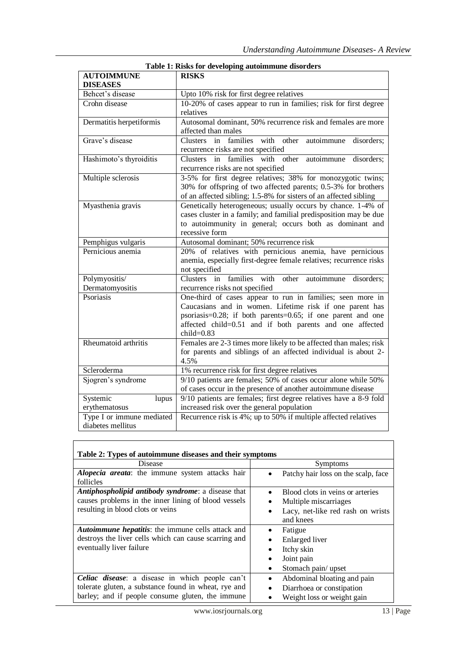| <b>AUTOIMMUNE</b>                              | <b>RISKS</b>                                                                                                                                                                                                                                                      |  |  |
|------------------------------------------------|-------------------------------------------------------------------------------------------------------------------------------------------------------------------------------------------------------------------------------------------------------------------|--|--|
| <b>DISEASES</b>                                |                                                                                                                                                                                                                                                                   |  |  |
| Behcet's disease                               | Upto 10% risk for first degree relatives                                                                                                                                                                                                                          |  |  |
| Crohn disease                                  | 10-20% of cases appear to run in families; risk for first degree<br>relatives                                                                                                                                                                                     |  |  |
| Dermatitis herpetiformis                       | Autosomal dominant, 50% recurrence risk and females are more<br>affected than males                                                                                                                                                                               |  |  |
| Grave's disease                                | families<br>Clusters<br>with other<br>autoimmune<br>disorders;<br>in<br>recurrence risks are not specified                                                                                                                                                        |  |  |
| Hashimoto's thyroiditis                        | <b>Clusters</b><br>in<br>families<br>disorders;<br>with<br>other<br>autoimmune<br>recurrence risks are not specified                                                                                                                                              |  |  |
| Multiple sclerosis                             | 3-5% for first degree relatives; 38% for monozygotic twins;<br>30% for offspring of two affected parents; 0.5-3% for brothers<br>of an affected sibling; 1.5-8% for sisters of an affected sibling                                                                |  |  |
| Myasthenia gravis                              | Genetically heterogeneous; usually occurs by chance. 1-4% of<br>cases cluster in a family; and familial predisposition may be due<br>to autoimmunity in general; occurs both as dominant and<br>recessive form                                                    |  |  |
| Pemphigus vulgaris                             | Autosomal dominant; 50% recurrence risk                                                                                                                                                                                                                           |  |  |
| Pernicious anemia                              | 20% of relatives with pernicious anemia, have pernicious<br>anemia, especially first-degree female relatives; recurrence risks<br>not specified                                                                                                                   |  |  |
| Polymyositis/<br>Dermatomyositis               | <b>Clusters</b><br>families<br>with<br>in<br>other<br>autoimmune<br>disorders;<br>recurrence risks not specified                                                                                                                                                  |  |  |
| Psoriasis                                      | One-third of cases appear to run in families; seen more in<br>Caucasians and in women. Lifetime risk if one parent has<br>psoriasis=0.28; if both parents=0.65; if one parent and one<br>affected child=0.51 and if both parents and one affected<br>$child=0.83$ |  |  |
| Rheumatoid arthritis                           | Females are 2-3 times more likely to be affected than males; risk<br>for parents and siblings of an affected individual is about 2-<br>4.5%                                                                                                                       |  |  |
| Scleroderma                                    | 1% recurrence risk for first degree relatives                                                                                                                                                                                                                     |  |  |
| Sjogren's syndrome                             | 9/10 patients are females; 50% of cases occur alone while 50%<br>of cases occur in the presence of another autoimmune disease                                                                                                                                     |  |  |
| Systemic<br>lupus<br>erythematosus             | 9/10 patients are females; first degree relatives have a 8-9 fold<br>increased risk over the general population                                                                                                                                                   |  |  |
| Type I or immune mediated<br>diabetes mellitus | Recurrence risk is 4%; up to 50% if multiple affected relatives                                                                                                                                                                                                   |  |  |

|  | Table 1: Risks for developing autoimmune disorders |
|--|----------------------------------------------------|
|  |                                                    |

# **Table 2: Types of autoimmune diseases and their symptoms**

| Disease                                               | Symptoms                                       |  |
|-------------------------------------------------------|------------------------------------------------|--|
| Alopecia areata: the immune system attacks hair       | Patchy hair loss on the scalp, face<br>٠       |  |
| follicles                                             |                                                |  |
| Antiphospholipid antibody syndrome: a disease that    | Blood clots in veins or arteries<br>$\bullet$  |  |
| causes problems in the inner lining of blood vessels  | Multiple miscarriages<br>٠                     |  |
| resulting in blood clots or veins                     | Lacy, net-like red rash on wrists<br>$\bullet$ |  |
|                                                       | and knees                                      |  |
| Autoimmune hepatitis: the immune cells attack and     | Fatigue                                        |  |
| destroys the liver cells which can cause scarring and | Enlarged liver<br>٠                            |  |
| eventually liver failure                              | Itchy skin<br>٠                                |  |
|                                                       | Joint pain<br>٠                                |  |
|                                                       | Stomach pain/upset<br>٠                        |  |
| Celiac disease: a disease in which people can't       | Abdominal bloating and pain<br>٠               |  |
| tolerate gluten, a substance found in wheat, rye and  | Diarrhoea or constipation<br>$\bullet$         |  |
| barley; and if people consume gluten, the immune      | Weight loss or weight gain                     |  |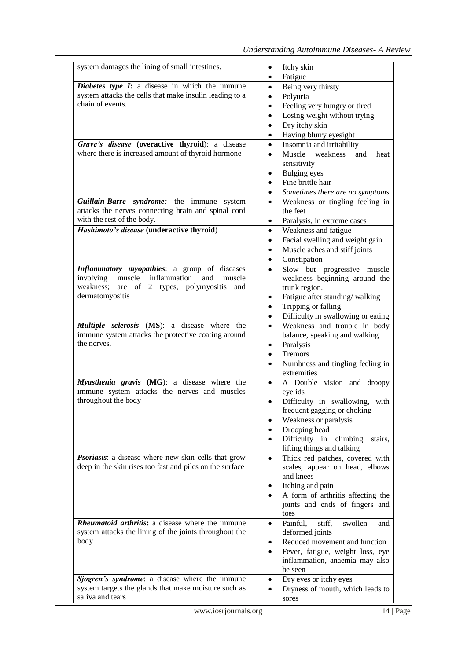| system damages the lining of small intestines.                                                                                                                               | Itchy skin<br>$\bullet$<br>Fatigue<br>$\bullet$                                                                                                                                                                                                      |
|------------------------------------------------------------------------------------------------------------------------------------------------------------------------------|------------------------------------------------------------------------------------------------------------------------------------------------------------------------------------------------------------------------------------------------------|
| <b>Diabetes type I:</b> a disease in which the immune<br>system attacks the cells that make insulin leading to a<br>chain of events.                                         | Being very thirsty<br>$\bullet$<br>Polyuria<br>$\bullet$<br>Feeling very hungry or tired<br>$\bullet$<br>Losing weight without trying<br>$\bullet$<br>Dry itchy skin<br>$\bullet$<br>Having blurry eyesight<br>$\bullet$                             |
| Grave's disease (overactive thyroid): a disease<br>where there is increased amount of thyroid hormone                                                                        | Insomnia and irritability<br>$\bullet$<br>Muscle weakness<br>and<br>heat<br>$\bullet$<br>sensitivity<br>Bulging eyes<br>$\bullet$<br>Fine brittle hair<br>$\bullet$<br>Sometimes there are no symptoms<br>$\bullet$                                  |
| Guillain-Barre syndrome: the immune system<br>attacks the nerves connecting brain and spinal cord<br>with the rest of the body.<br>Hashimoto's disease (underactive thyroid) | Weakness or tingling feeling in<br>$\bullet$<br>the feet<br>Paralysis, in extreme cases<br>$\bullet$<br>Weakness and fatigue<br>$\bullet$<br>Facial swelling and weight gain<br>٠<br>Muscle aches and stiff joints<br>٠<br>Constipation<br>$\bullet$ |
| Inflammatory myopathies: a group of diseases<br>muscle<br>inflammation<br>involving<br>and<br>muscle<br>weakness;<br>are of 2 types, polymyositis<br>and<br>dermatomyositis  | Slow but progressive muscle<br>$\bullet$<br>weakness beginning around the<br>trunk region.<br>Fatigue after standing/walking<br>$\bullet$<br>Tripping or falling<br>$\bullet$<br>Difficulty in swallowing or eating<br>$\bullet$                     |
| Multiple sclerosis (MS): a disease where the<br>immune system attacks the protective coating around<br>the nerves.                                                           | Weakness and trouble in body<br>$\bullet$<br>balance, speaking and walking<br>Paralysis<br>$\bullet$<br><b>Tremors</b><br>$\bullet$<br>Numbness and tingling feeling in<br>$\bullet$<br>extremities                                                  |
| Myasthenia gravis (MG): a disease where the<br>immune system attacks the nerves and muscles<br>throughout the body                                                           | A Double vision and droopy<br>$\bullet$<br>eyelids<br>Difficulty in swallowing, with<br>$\bullet$<br>frequent gagging or choking<br>Weakness or paralysis<br>Drooping head<br>Difficulty in climbing<br>stairs,<br>lifting things and talking        |
| Psoriasis: a disease where new skin cells that grow<br>deep in the skin rises too fast and piles on the surface                                                              | Thick red patches, covered with<br>$\bullet$<br>scales, appear on head, elbows<br>and knees<br>Itching and pain<br>٠<br>A form of arthritis affecting the<br>$\bullet$<br>joints and ends of fingers and<br>toes                                     |
| <b>Rheumatoid arthritis:</b> a disease where the immune<br>system attacks the lining of the joints throughout the<br>body                                                    | Painful,<br>stiff,<br>swollen<br>and<br>٠<br>deformed joints<br>Reduced movement and function<br>٠<br>Fever, fatigue, weight loss, eye<br>$\bullet$<br>inflammation, anaemia may also<br>be seen                                                     |
| Sjogren's syndrome: a disease where the immune<br>system targets the glands that make moisture such as<br>saliva and tears                                                   | Dry eyes or itchy eyes<br>Dryness of mouth, which leads to<br>sores                                                                                                                                                                                  |